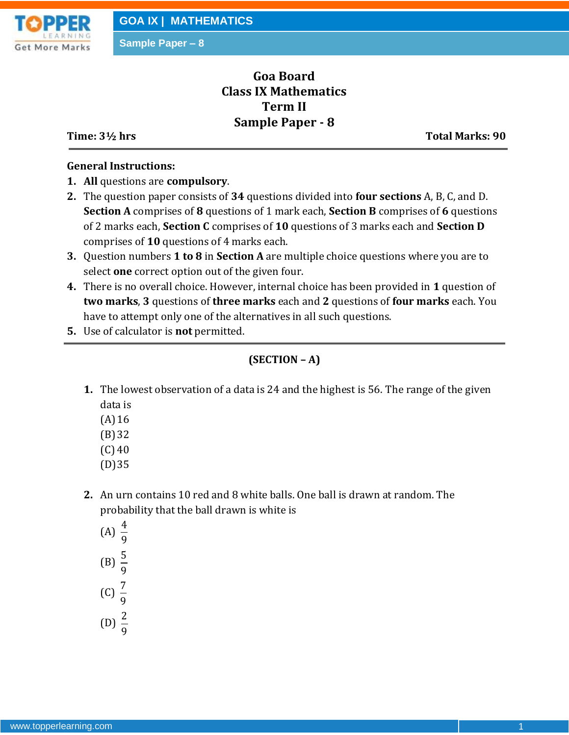

**Sample Paper – 8**

# **Goa Board Class IX Mathematics Term II Sample Paper - 8**

**Time: 3½ hrs** Total Marks: 90

### **General Instructions:**

- **1. All** questions are **compulsory**.
- **2.** The question paper consists of **34** questions divided into **four sections** A, B, C, and D. **Section A** comprises of **8** questions of 1 mark each, **Section B** comprises of **6** questions of 2 marks each, **Section C** comprises of **10** questions of 3 marks each and **Section D** comprises of **10** questions of 4 marks each.
- **3.** Question numbers **1 to 8** in **Section A** are multiple choice questions where you are to select **one** correct option out of the given four.
- **4.** There is no overall choice. However, internal choice has been provided in **1** question of **two marks**, **3** questions of **three marks** each and **2** questions of **four marks** each. You have to attempt only one of the alternatives in all such questions.
- **5.** Use of calculator is **not** permitted.

## **(SECTION – A)**

- **1.** The lowest observation of a data is 24 and the highest is 56. The range of the given data is
	- $(A)16$
	- (B)32
	- $(C)$  40
	- (D)35
- **2.** An urn contains 10 red and 8 white balls. One ball is drawn at random. The probability that the ball drawn is white is
	- (A)  $\frac{4}{5}$ 9 (B)  $\frac{5}{3}$ 9  $(C) \frac{7}{5}$ 9
	- (D)  $\frac{2}{3}$ 9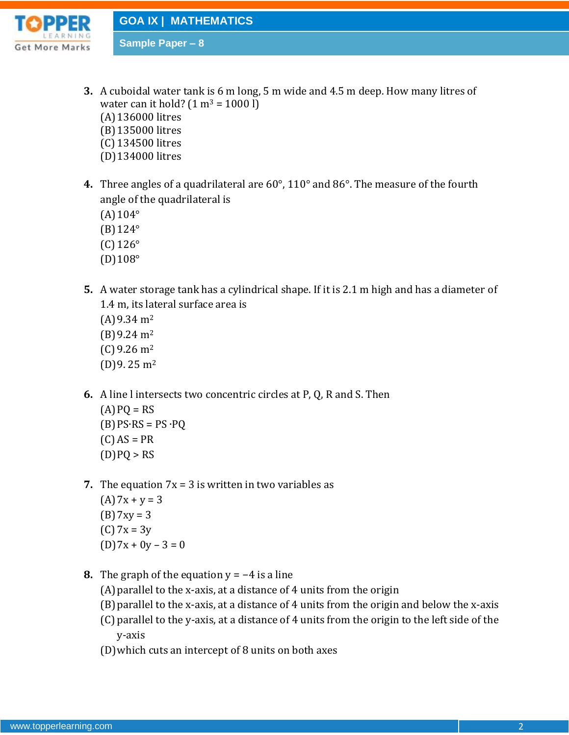

**GOA IX | MATHEMATICS**

**Sample Paper – 8**

- **3.** A cuboidal water tank is 6 m long, 5 m wide and 4.5 m deep. How many litres of water can it hold?  $(1 m^3 = 1000 l)$ (A)136000 litres (B)135000 litres (C) 134500 litres (D)134000 litres
- **4.** Three angles of a quadrilateral are 60°, 110° and 86°. The measure of the fourth angle of the quadrilateral is
	- $(A)104^{\circ}$
	- (B)124°
	- (C) 126°
	- (D)108°
- **5.** A water storage tank has a cylindrical shape. If it is 2.1 m high and has a diameter of 1.4 m, its lateral surface area is
	- $(A)$  9.34 m<sup>2</sup>  $(B)9.24 \text{ m}^2$  $(C)$  9.26 m<sup>2</sup>  $(D)$ 9. 25 m<sup>2</sup>
- **6.** A line l intersects two concentric circles at P, Q, R and S. Then
	- $(A)$  PQ = RS  $(B) PS<sup>T</sup>RS = PS<sup>T</sup>PQ$  $(C) AS = PR$  $(D)PO > RS$
- **7.** The equation  $7x = 3$  is written in two variables as
	- $(A)7x + y = 3$  $(B) 7xy = 3$  $(C)$  7x = 3y  $(D)7x + 0y - 3 = 0$
- **8.** The graph of the equation  $y = -4$  is a line
	- (A)parallel to the x-axis, at a distance of 4 units from the origin
	- (B)parallel to the x-axis, at a distance of 4 units from the origin and below the x-axis
	- (C) parallel to the y-axis, at a distance of 4 units from the origin to the left side of the y-axis
	- (D)which cuts an intercept of 8 units on both axes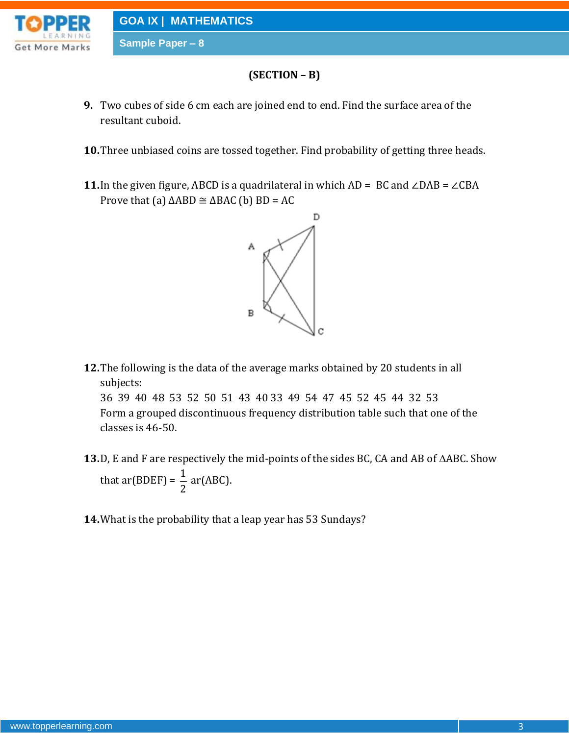

**Sample Paper – 8**

## **(SECTION – B)**

- **9.** Two cubes of side 6 cm each are joined end to end. Find the surface area of the resultant cuboid.
- **10.**Three unbiased coins are tossed together. Find probability of getting three heads.
- **11.**In the given figure, ABCD is a quadrilateral in which AD = BC and ∠DAB = ∠CBA Prove that (a)  $\triangle ABD \cong \triangle BAC$  (b)  $BD = AC$



**12.**The following is the data of the average marks obtained by 20 students in all subjects:

36 39 40 48 53 52 50 51 43 40 33 49 54 47 45 52 45 44 32 53 Form a grouped discontinuous frequency distribution table such that one of the classes is 46-50.

- **13.** D, E and F are respectively the mid-points of the sides BC, CA and AB of  $\triangle$ ABC. Show that ar(BDEF) =  $\frac{1}{2}$ 2 ar(ABC).
- **14.**What is the probability that a leap year has 53 Sundays?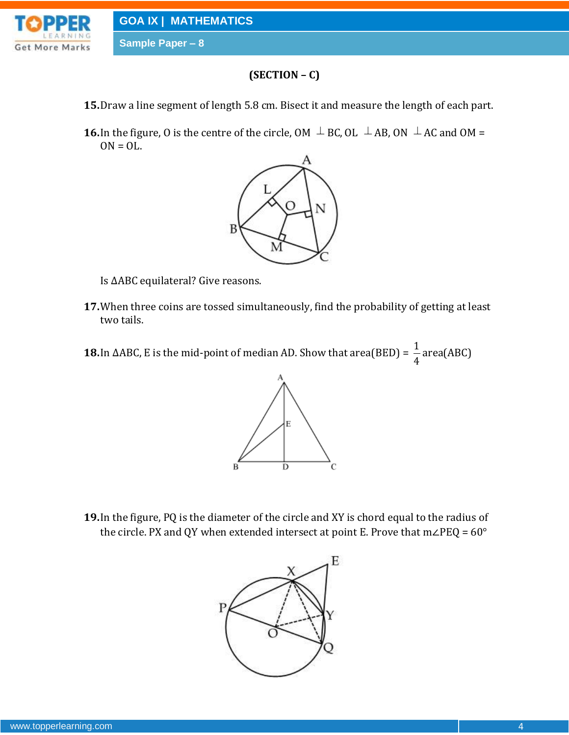



## **(SECTION – C)**

- **15.**Draw a line segment of length 5.8 cm. Bisect it and measure the length of each part.
- **16.** In the figure, O is the centre of the circle, OM  $\perp$  BC, OL  $\perp$  AB, ON  $\perp$  AC and OM =  $ON = OL$ .



Is ΔABC equilateral? Give reasons.

- **17.**When three coins are tossed simultaneously, find the probability of getting at least two tails.
- **18.**In ∆ABC, E is the mid-point of median AD. Show that area(BED) =  $\frac{1}{2}$ 4 area(ABC)



**19.**In the figure, PQ is the diameter of the circle and XY is chord equal to the radius of the circle. PX and QY when extended intersect at point E. Prove that  $m∠PEQ = 60^{\circ}$ 

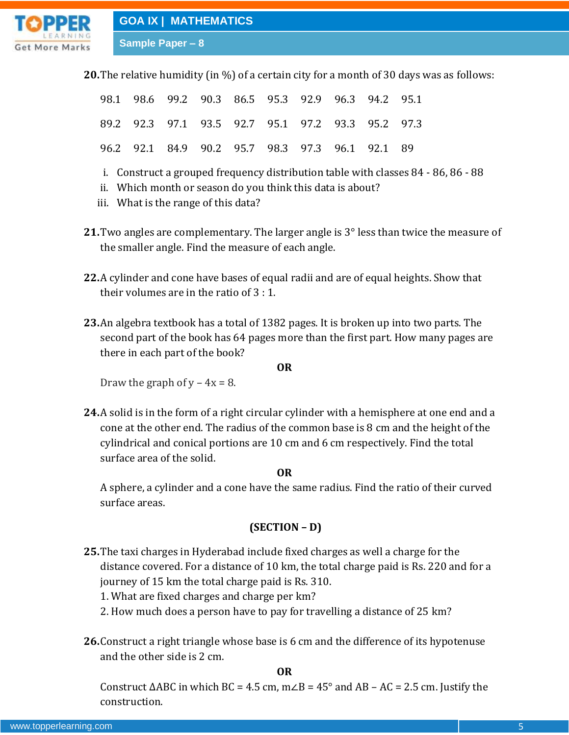

**20.**The relative humidity (in %) of a certain city for a month of 30 days was as follows:

|  |  |  |  | 98.1 98.6 99.2 90.3 86.5 95.3 92.9 96.3 94.2 95.1 |  |
|--|--|--|--|---------------------------------------------------|--|
|  |  |  |  | 89.2 92.3 97.1 93.5 92.7 95.1 97.2 93.3 95.2 97.3 |  |
|  |  |  |  | 96.2 92.1 84.9 90.2 95.7 98.3 97.3 96.1 92.1 89   |  |

- i. Construct a grouped frequency distribution table with classes 84 86, 86 88
- ii. Which month or season do you think this data is about?
- iii. What is the range of this data?
- **21.**Two angles are complementary. The larger angle is 3° less than twice the measure of the smaller angle. Find the measure of each angle.
- **22.**A cylinder and cone have bases of equal radii and are of equal heights. Show that their volumes are in the ratio of 3 : 1.
- **23.**An algebra textbook has a total of 1382 pages. It is broken up into two parts. The second part of the book has 64 pages more than the first part. How many pages are there in each part of the book?

#### **OR**

Draw the graph of  $y - 4x = 8$ .

**24.**A solid is in the form of a right circular cylinder with a hemisphere at one end and a cone at the other end. The radius of the common base is 8 cm and the height of the cylindrical and conical portions are 10 cm and 6 cm respectively. Find the total surface area of the solid.

#### **OR**

A sphere, a cylinder and a cone have the same radius. Find the ratio of their curved surface areas.

#### **(SECTION – D)**

- **25.**The taxi charges in Hyderabad include fixed charges as well a charge for the distance covered. For a distance of 10 km, the total charge paid is Rs. 220 and for a journey of 15 km the total charge paid is Rs. 310.
	- 1. What are fixed charges and charge per km?
	- 2. How much does a person have to pay for travelling a distance of 25 km?
- **26.**Construct a right triangle whose base is 6 cm and the difference of its hypotenuse and the other side is 2 cm.

**OR**

Construct  $\triangle ABC$  in which BC = 4.5 cm, m $\angle B$  = 45° and AB – AC = 2.5 cm. Justify the construction.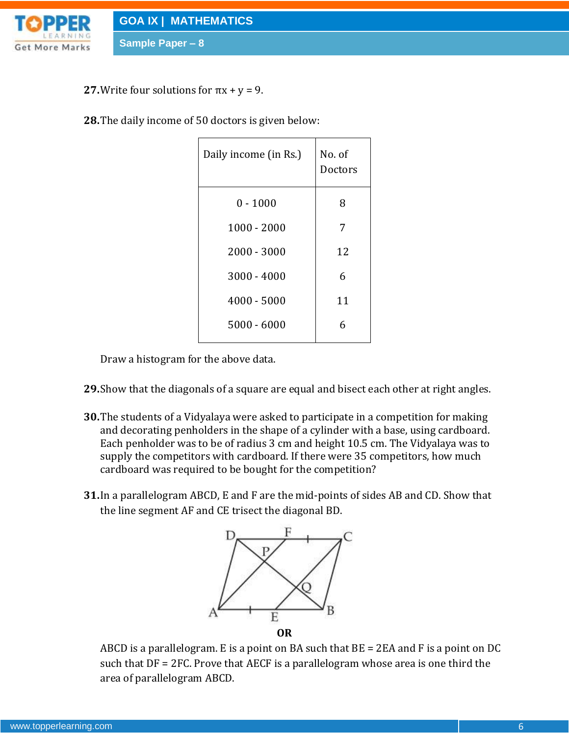

**27.** Write four solutions for  $\pi x + y = 9$ .

**Sample Paper – 8**

**28.**The daily income of 50 doctors is given below:

| Daily income (in Rs.) | No. of<br>Doctors |
|-----------------------|-------------------|
| $0 - 1000$            | 8                 |
| $1000 - 2000$         | 7                 |
| $2000 - 3000$         | 12                |
| 3000 - 4000           | 6                 |
| $4000 - 5000$         | 11                |
| $5000 - 6000$         | 6                 |
|                       |                   |

Draw a histogram for the above data.

- **29.**Show that the diagonals of a square are equal and bisect each other at right angles.
- **30.**The students of a Vidyalaya were asked to participate in a competition for making and decorating penholders in the shape of a cylinder with a base, using cardboard. Each penholder was to be of radius 3 cm and height 10.5 cm. The Vidyalaya was to supply the competitors with cardboard. If there were 35 competitors, how much cardboard was required to be bought for the competition?
- **31.**In a parallelogram ABCD, E and F are the mid-points of sides AB and CD. Show that the line segment AF and CE trisect the diagonal BD.



ABCD is a parallelogram. E is a point on BA such that BE = 2EA and F is a point on DC such that DF = 2FC. Prove that AECF is a parallelogram whose area is one third the area of parallelogram ABCD.